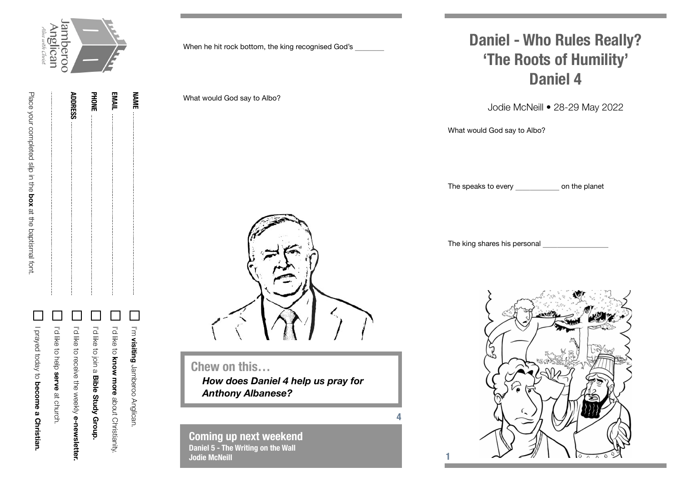

**NAME**

|  |                | <b>PHONE</b> | EMAIL |
|--|----------------|--------------|-------|
|  | <b>ADDRESS</b> |              |       |
|  |                |              |       |
|  |                |              |       |
|  |                |              |       |
|  |                |              |       |
|  |                |              |       |
|  |                |              |       |
|  |                |              |       |
|  |                |              |       |
|  |                |              |       |
|  |                |              |       |
|  |                |              |       |
|  |                |              |       |
|  |                |              |       |
|  |                |              |       |
|  |                |              |       |
|  |                |              |       |
|  |                |              |       |
|  |                |              |       |
|  |                |              |       |
|  |                |              |       |
|  |                |              |       |
|  |                |              |       |

Place your completed slip in the

Place your completed slip in the box at the baptismal fort.

**box** at the baptismal font.

| [ ] I prayed today to become a Christian. | I'd like to help serve at church. | In the considering selection or <b>nexaler is the selection</b> . | II Polike to join a Bible Study Group. | Interview and the about Christianity: | 'm visiting Jamberoo Anglican. |
|-------------------------------------------|-----------------------------------|-------------------------------------------------------------------|----------------------------------------|---------------------------------------|--------------------------------|

When he hit rock bottom, the king recognised God's

What would God say to Albo?

**Chew on this…** *How does Daniel 4 help us pray for Anthony Albanese?*

**4**

**1**

**Coming up next weekend Daniel 5 - The Writing on the Wall Jodie McNeill**

## **Daniel - Who Rules Really? 'The Roots of Humility' Daniel 4**

Jodie McNeill • 28-29 May 2022

What would God say to Albo?

The speaks to every **the speaks** to every **the speaks** 

The king shares his personal